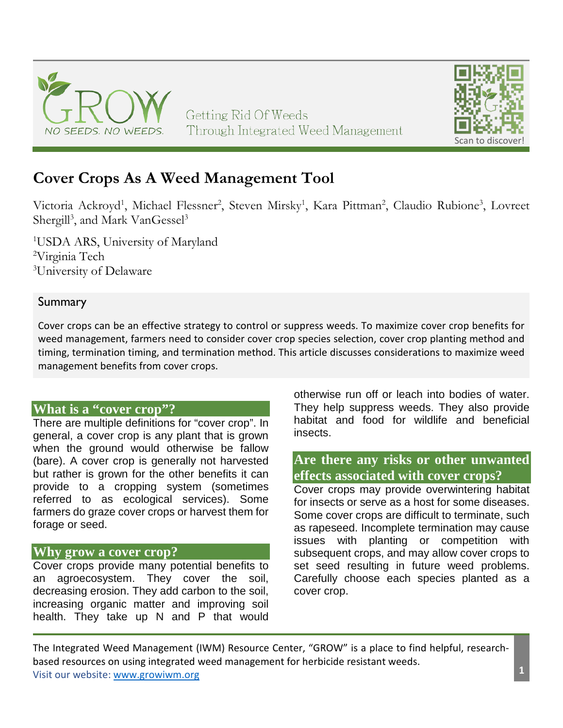

# **Cover Crops As A Weed Management Tool**

Victoria Ackroyd<sup>1</sup>, Michael Flessner<sup>2</sup>, Steven Mirsky<sup>1</sup>, Kara Pittman<sup>2</sup>, Claudio Rubione<sup>3</sup>, Lovreet Shergill<sup>3</sup>, and Mark VanGessel<sup>3</sup>

1 USDA ARS, University of Maryland 2 Virginia Tech <sup>3</sup>University of Delaware

### **Summary**

Cover crops can be an effective strategy to control or suppress weeds. To maximize cover crop benefits for weed management, farmers need to consider cover crop species selection, cover crop planting method and timing, termination timing, and termination method. This article discusses considerations to maximize weed management benefits from cover crops.

### **What is a "cover crop"?**

There are multiple definitions for "cover crop". In general, a cover crop is any plant that is grown when the ground would otherwise be fallow (bare). A cover crop is generally not harvested but rather is grown for the other benefits it can provide to a cropping system (sometimes referred to as ecological services). Some farmers do graze cover crops or harvest them for forage or seed.

### **Why grow a cover crop?**

Cover crops provide many potential benefits to an agroecosystem. They cover the soil, decreasing erosion. They add carbon to the soil, increasing organic matter and improving soil health. They take up N and P that would otherwise run off or leach into bodies of water. They help suppress weeds. They also provide habitat and food for wildlife and beneficial insects.

### **Are there any risks or other unwanted effects associated with cover crops?**

Cover crops may provide overwintering habitat for insects or serve as a host for some diseases. Some cover crops are difficult to terminate, such as rapeseed. Incomplete termination may cause issues with planting or competition with subsequent crops, and may allow cover crops to set seed resulting in future weed problems. Carefully choose each species planted as a cover crop.

The Integrated Weed Management (IWM) Resource Center, "GROW" is a place to find helpful, researchbased resources on using integrated weed management for herbicide resistant weeds. Visit our website: [www.growiwm.org](http://www.growiwm.org/) **1**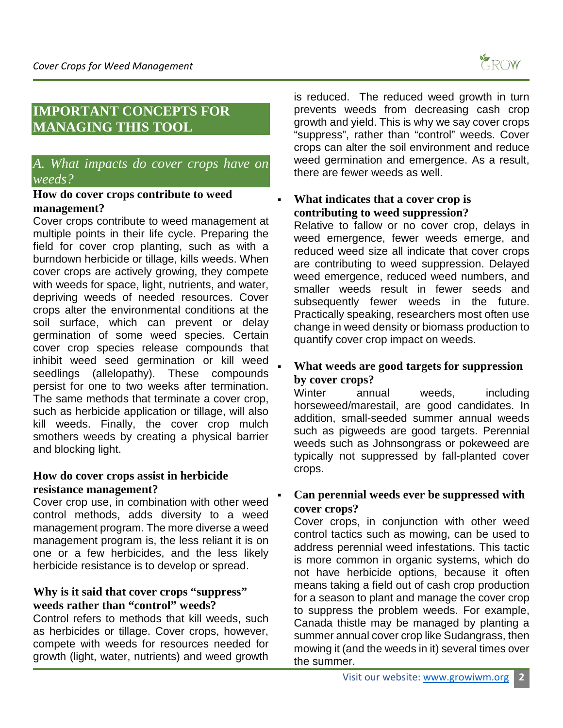

## **IMPORTANT CONCEPTS FOR MANAGING THIS TOOL**

### *A. What impacts do cover crops have on weeds?*

#### **How do cover crops contribute to weed management?**

Cover crops contribute to weed management at multiple points in their life cycle. Preparing the field for cover crop planting, such as with a burndown herbicide or tillage, kills weeds. When cover crops are actively growing, they compete with weeds for space, light, nutrients, and water, depriving weeds of needed resources. Cover crops alter the environmental conditions at the soil surface, which can prevent or delay germination of some weed species. Certain cover crop species release compounds that inhibit weed seed germination or kill weed seedlings (allelopathy). These compounds persist for one to two weeks after termination. The same methods that terminate a cover crop, such as herbicide application or tillage, will also kill weeds. Finally, the cover crop mulch smothers weeds by creating a physical barrier and blocking light.

#### **How do cover crops assist in herbicide resistance management?**

Cover crop use, in combination with other weed control methods, adds diversity to a weed management program. The more diverse a weed management program is, the less reliant it is on one or a few herbicides, and the less likely herbicide resistance is to develop or spread.

### **Why is it said that cover crops "suppress" weeds rather than "control" weeds?**

Control refers to methods that kill weeds, such as herbicides or tillage. Cover crops, however, compete with weeds for resources needed for growth (light, water, nutrients) and weed growth

is reduced. The reduced weed growth in turn prevents weeds from decreasing cash crop growth and yield. This is why we say cover crops "suppress", rather than "control" weeds. Cover crops can alter the soil environment and reduce weed germination and emergence. As a result, there are fewer weeds as well.

### **What indicates that a cover crop is contributing to weed suppression?**

Relative to fallow or no cover crop, delays in weed emergence, fewer weeds emerge, and reduced weed size all indicate that cover crops are contributing to weed suppression. Delayed weed emergence, reduced weed numbers, and smaller weeds result in fewer seeds and subsequently fewer weeds in the future. Practically speaking, researchers most often use change in weed density or biomass production to quantify cover crop impact on weeds.

### **What weeds are good targets for suppression by cover crops?**

Winter annual weeds, including horseweed/marestail, are good candidates. In addition, small-seeded summer annual weeds such as pigweeds are good targets. Perennial weeds such as Johnsongrass or pokeweed are typically not suppressed by fall-planted cover crops.

### **Can perennial weeds ever be suppressed with cover crops?**

Cover crops, in conjunction with other weed control tactics such as mowing, can be used to address perennial weed infestations. This tactic is more common in organic systems, which do not have herbicide options, because it often means taking a field out of cash crop production for a season to plant and manage the cover crop to suppress the problem weeds. For example, Canada thistle may be managed by planting a summer annual cover crop like Sudangrass, then mowing it (and the weeds in it) several times over the summer.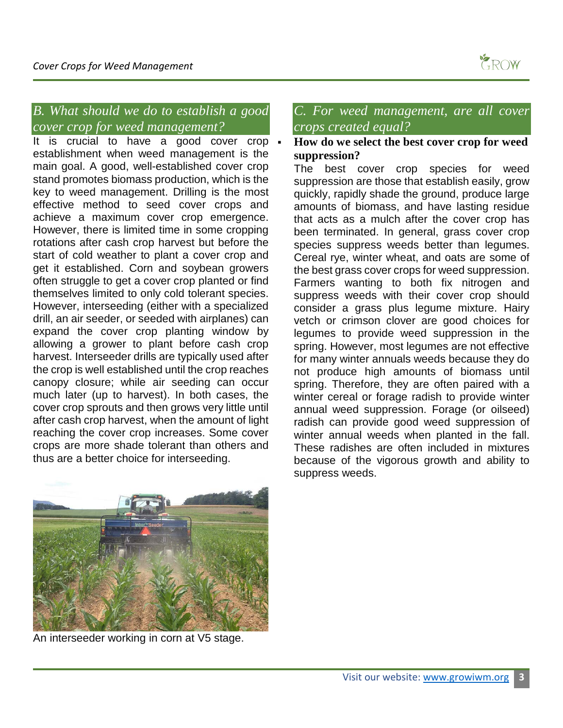

# *B. What should we do to establish a good cover crop for weed management?*

It is crucial to have a good cover crop . establishment when weed management is the main goal. A good, well-established cover crop stand promotes biomass production, which is the key to weed management. Drilling is the most effective method to seed cover crops and achieve a maximum cover crop emergence. However, there is limited time in some cropping rotations after cash crop harvest but before the start of cold weather to plant a cover crop and get it established. Corn and soybean growers often struggle to get a cover crop planted or find themselves limited to only cold tolerant species. However, interseeding (either with a specialized drill, an air seeder, or seeded with airplanes) can expand the cover crop planting window by allowing a grower to plant before cash crop harvest. Interseeder drills are typically used after the crop is well established until the crop reaches canopy closure; while air seeding can occur much later (up to harvest). In both cases, the cover crop sprouts and then grows very little until after cash crop harvest, when the amount of light reaching the cover crop increases. Some cover crops are more shade tolerant than others and thus are a better choice for interseeding.

### *C. For weed management, are all cover crops created equal?*

### **How do we select the best cover crop for weed suppression?**

The best cover crop species for weed suppression are those that establish easily, grow quickly, rapidly shade the ground, produce large amounts of biomass, and have lasting residue that acts as a mulch after the cover crop has been terminated. In general, grass cover crop species suppress weeds better than legumes. Cereal rye, winter wheat, and oats are some of the best grass cover crops for weed suppression. Farmers wanting to both fix nitrogen and suppress weeds with their cover crop should consider a grass plus legume mixture. Hairy vetch or crimson clover are good choices for legumes to provide weed suppression in the spring. However, most legumes are not effective for many winter annuals weeds because they do not produce high amounts of biomass until spring. Therefore, they are often paired with a winter cereal or forage radish to provide winter annual weed suppression. Forage (or oilseed) radish can provide good weed suppression of winter annual weeds when planted in the fall. These radishes are often included in mixtures because of the vigorous growth and ability to suppress weeds.



An interseeder working in corn at V5 stage.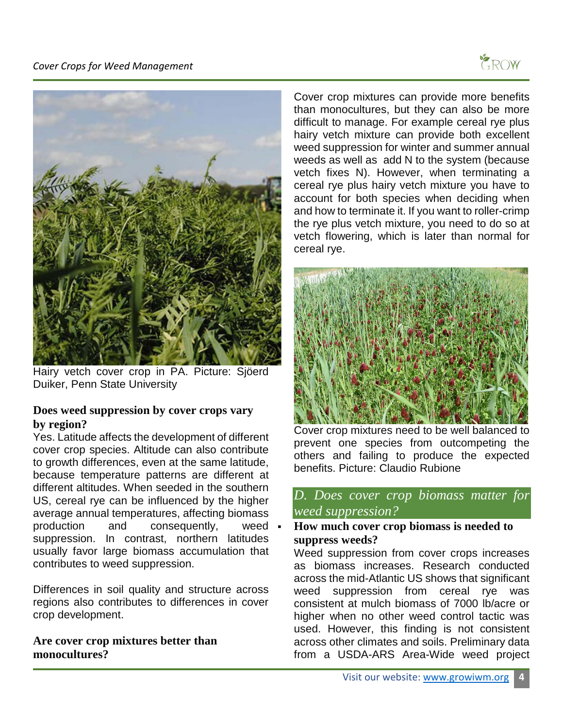



Hairy vetch cover crop in PA. Picture: Sjöerd Duiker, Penn State University

### **Does weed suppression by cover crops vary by region?**

Yes. Latitude affects the development of different cover crop species. Altitude can also contribute to growth differences, even at the same latitude, because temperature patterns are different at different altitudes. When seeded in the southern US, cereal rye can be influenced by the higher average annual temperatures, affecting biomass production and consequently, weed suppression. In contrast, northern latitudes usually favor large biomass accumulation that contributes to weed suppression.

Differences in soil quality and structure across regions also contributes to differences in cover crop development.

**Are cover crop mixtures better than monocultures?**

Cover crop mixtures can provide more benefits than monocultures, but they can also be more difficult to manage. For example cereal rye plus hairy vetch mixture can provide both excellent weed suppression for winter and summer annual weeds as well as add N to the system (because vetch fixes N). However, when terminating a cereal rye plus hairy vetch mixture you have to account for both species when deciding when and how to terminate it. If you want to roller-crimp the rye plus vetch mixture, you need to do so at vetch flowering, which is later than normal for cereal rye.



Cover crop mixtures need to be well balanced to prevent one species from outcompeting the others and failing to produce the expected benefits. Picture: Claudio Rubione

### *D. Does cover crop biomass matter for weed suppression?*

 **How much cover crop biomass is needed to suppress weeds?**

Weed suppression from cover crops increases as biomass increases. Research conducted across the mid-Atlantic US shows that significant weed suppression from cereal rye was consistent at mulch biomass of 7000 lb/acre or higher when no other weed control tactic was used. However, this finding is not consistent across other climates and soils. Preliminary data from a USDA-ARS Area-Wide weed project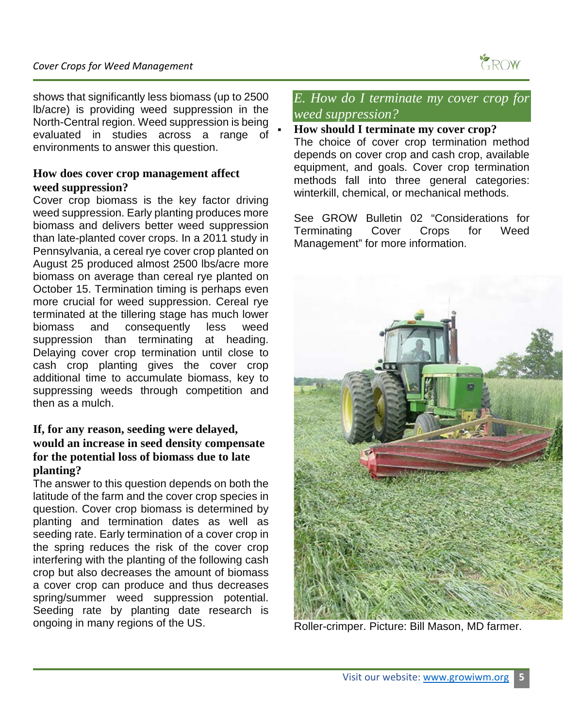

shows that significantly less biomass (up to 2500 lb/acre) is providing weed suppression in the North-Central region. Weed suppression is being evaluated in studies across a range of environments to answer this question.

#### **How does cover crop management affect weed suppression?**

Cover crop biomass is the key factor driving weed suppression. Early planting produces more biomass and delivers better weed suppression than late-planted cover crops. In a 2011 study in Pennsylvania, a cereal rye cover crop planted on August 25 produced almost 2500 lbs/acre more biomass on average than cereal rye planted on October 15. Termination timing is perhaps even more crucial for weed suppression. Cereal rye terminated at the tillering stage has much lower biomass and consequently less weed suppression than terminating at heading. Delaying cover crop termination until close to cash crop planting gives the cover crop additional time to accumulate biomass, key to suppressing weeds through competition and then as a mulch.

#### **If, for any reason, seeding were delayed, would an increase in seed density compensate for the potential loss of biomass due to late planting?**

The answer to this question depends on both the latitude of the farm and the cover crop species in question. Cover crop biomass is determined by planting and termination dates as well as seeding rate. Early termination of a cover crop in the spring reduces the risk of the cover crop interfering with the planting of the following cash crop but also decreases the amount of biomass a cover crop can produce and thus decreases spring/summer weed suppression potential. Seeding rate by planting date research is ongoing in many regions of the US.

### *E. How do I terminate my cover crop for weed suppression?*

#### **How should I terminate my cover crop?**

The choice of cover crop termination method depends on cover crop and cash crop, available equipment, and goals. Cover crop termination methods fall into three general categories: winterkill, chemical, or mechanical methods.

See GROW Bulletin 02 "Considerations for Terminating Cover Crops for Weed Management" for more information.



Roller-crimper. Picture: Bill Mason, MD farmer.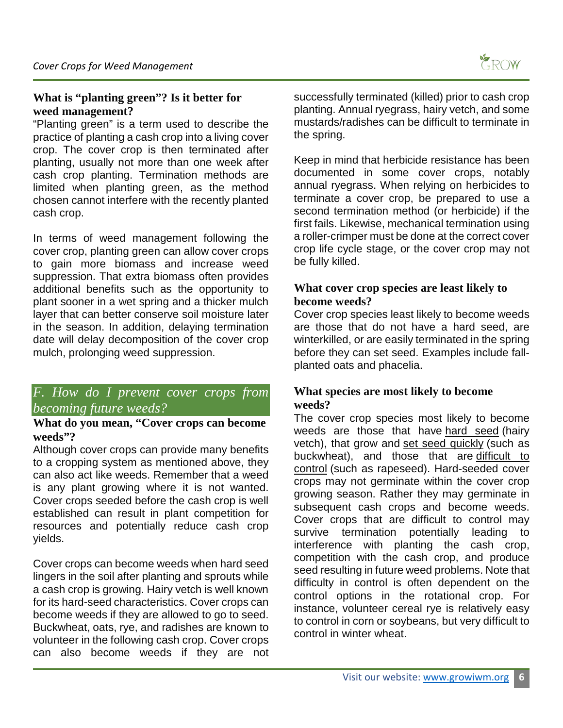### **What is "planting green"? Is it better for weed management?**

"Planting green" is a term used to describe the practice of planting a cash crop into a living cover crop. The cover crop is then terminated after planting, usually not more than one week after cash crop planting. Termination methods are limited when planting green, as the method chosen cannot interfere with the recently planted cash crop.

In terms of weed management following the cover crop, planting green can allow cover crops to gain more biomass and increase weed suppression. That extra biomass often provides additional benefits such as the opportunity to plant sooner in a wet spring and a thicker mulch layer that can better conserve soil moisture later in the season. In addition, delaying termination date will delay decomposition of the cover crop mulch, prolonging weed suppression.

### *F. How do I prevent cover crops from becoming future weeds?*

### **What do you mean, "Cover crops can become weeds"?**

Although cover crops can provide many benefits to a cropping system as mentioned above, they can also act like weeds. Remember that a weed is any plant growing where it is not wanted. Cover crops seeded before the cash crop is well established can result in plant competition for resources and potentially reduce cash crop yields.

Cover crops can become weeds when hard seed lingers in the soil after planting and sprouts while a cash crop is growing. Hairy vetch is well known for its hard-seed characteristics. Cover crops can become weeds if they are allowed to go to seed. Buckwheat, oats, rye, and radishes are known to volunteer in the following cash crop. Cover crops can also become weeds if they are not

successfully terminated (killed) prior to cash crop planting. Annual ryegrass, hairy vetch, and some mustards/radishes can be difficult to terminate in the spring.

Keep in mind that herbicide resistance has been documented in some cover crops, notably annual ryegrass. When relying on herbicides to terminate a cover crop, be prepared to use a second termination method (or herbicide) if the first fails. Likewise, mechanical termination using a roller-crimper must be done at the correct cover crop life cycle stage, or the cover crop may not be fully killed.

#### **What cover crop species are least likely to become weeds?**

Cover crop species least likely to become weeds are those that do not have a hard seed, are winterkilled, or are easily terminated in the spring before they can set seed. Examples include fallplanted oats and phacelia.

#### **What species are most likely to become weeds?**

The cover crop species most likely to become weeds are those that have hard seed (hairy vetch), that grow and set seed quickly (such as buckwheat), and those that are difficult to control (such as rapeseed). Hard-seeded cover crops may not germinate within the cover crop growing season. Rather they may germinate in subsequent cash crops and become weeds. Cover crops that are difficult to control may survive termination potentially leading to interference with planting the cash crop, competition with the cash crop, and produce seed resulting in future weed problems. Note that difficulty in control is often dependent on the control options in the rotational crop. For instance, volunteer cereal rye is relatively easy to control in corn or soybeans, but very difficult to control in winter wheat.

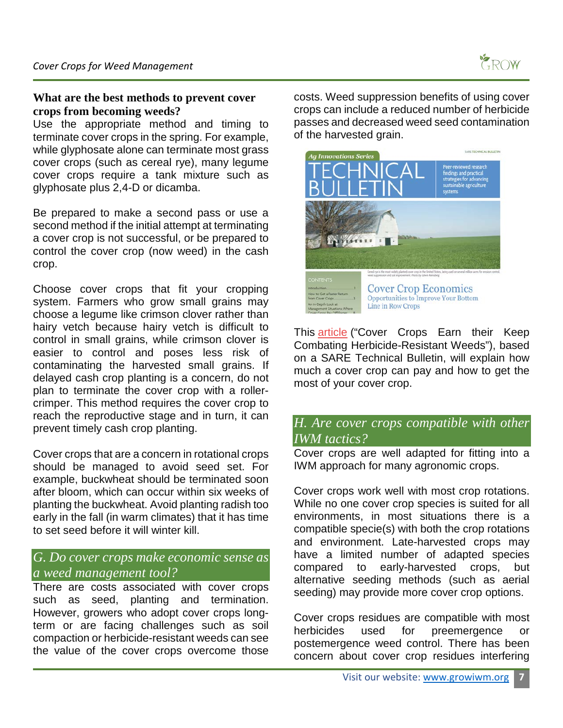#### **What are the best methods to prevent cover crops from becoming weeds?**

Use the appropriate method and timing to terminate cover crops in the spring. For example, while glyphosate alone can terminate most grass cover crops (such as cereal rye), many legume cover crops require a tank mixture such as glyphosate plus 2,4-D or dicamba.

Be prepared to make a second pass or use a second method if the initial attempt at terminating a cover crop is not successful, or be prepared to control the cover crop (now weed) in the cash crop.

Choose cover crops that fit your cropping system. Farmers who grow small grains may choose a legume like crimson clover rather than hairy vetch because hairy vetch is difficult to control in small grains, while crimson clover is easier to control and poses less risk of contaminating the harvested small grains. If delayed cash crop planting is a concern, do not plan to terminate the cover crop with a rollercrimper. This method requires the cover crop to reach the reproductive stage and in turn, it can prevent timely cash crop planting.

Cover crops that are a concern in rotational crops should be managed to avoid seed set. For example, buckwheat should be terminated soon after bloom, which can occur within six weeks of planting the buckwheat. Avoid planting radish too early in the fall (in warm climates) that it has time to set seed before it will winter kill.

### *G. Do cover crops make economic sense as a weed management tool?*

There are costs associated with cover crops such as seed, planting and termination. However, growers who adopt cover crops longterm or are facing challenges such as soil compaction or herbicide-resistant weeds can see the value of the cover crops overcome those

costs. Weed suppression benefits of using cover crops can include a reduced number of herbicide passes and decreased weed seed contamination of the harvested grain.



This **[article](https://integratedweedmanagement.org/wp-content/uploads/2019/10/Overview-of-SARE-Technical-Bulletin-on-Cover-Crop-Economics.pdf?x50900)** ("Cover Crops Earn their Keep Combating Herbicide-Resistant Weeds"), based on a SARE Technical Bulletin, will explain how much a cover crop can pay and how to get the most of your cover crop.

### *H. Are cover crops compatible with other IWM tactics?*

Cover crops are well adapted for fitting into a IWM approach for many agronomic crops.

Cover crops work well with most crop rotations. While no one cover crop species is suited for all environments, in most situations there is a compatible specie(s) with both the crop rotations and environment. Late-harvested crops may have a limited number of adapted species compared to early-harvested crops, but alternative seeding methods (such as aerial seeding) may provide more cover crop options.

Cover crops residues are compatible with most herbicides used for preemergence or postemergence weed control. There has been concern about cover crop residues interfering

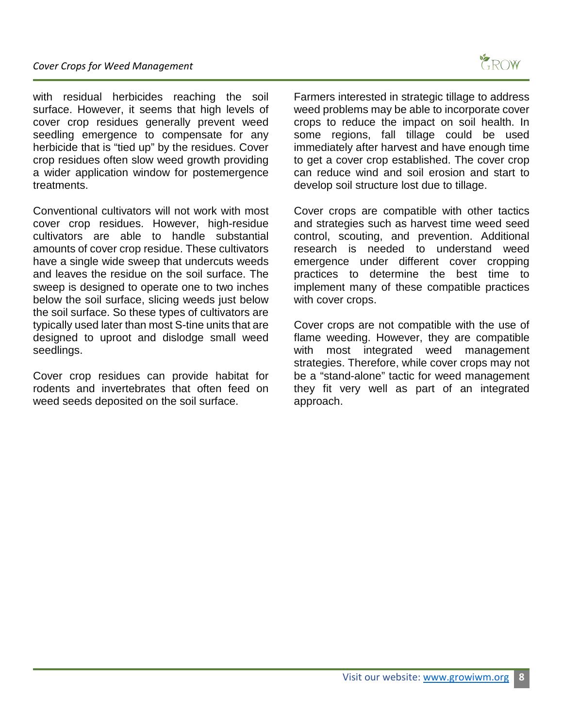with residual herbicides reaching the soil surface. However, it seems that high levels of cover crop residues generally prevent weed seedling emergence to compensate for any herbicide that is "tied up" by the residues. Cover crop residues often slow weed growth providing a wider application window for postemergence treatments.

Conventional cultivators will not work with most cover crop residues. However, high-residue cultivators are able to handle substantial amounts of cover crop residue. These cultivators have a single wide sweep that undercuts weeds and leaves the residue on the soil surface. The sweep is designed to operate one to two inches below the soil surface, slicing weeds just below the soil surface. So these types of cultivators are typically used later than most S-tine units that are designed to uproot and dislodge small weed seedlings.

Cover crop residues can provide habitat for rodents and invertebrates that often feed on weed seeds deposited on the soil surface.

Farmers interested in strategic tillage to address weed problems may be able to incorporate cover crops to reduce the impact on soil health. In some regions, fall tillage could be used immediately after harvest and have enough time to get a cover crop established. The cover crop can reduce wind and soil erosion and start to develop soil structure lost due to tillage.

Cover crops are compatible with other tactics and strategies such as harvest time weed seed control, scouting, and prevention. Additional research is needed to understand weed emergence under different cover cropping practices to determine the best time to implement many of these compatible practices with cover crops.

Cover crops are not compatible with the use of flame weeding. However, they are compatible with most integrated weed management strategies. Therefore, while cover crops may not be a "stand-alone" tactic for weed management they fit very well as part of an integrated approach.